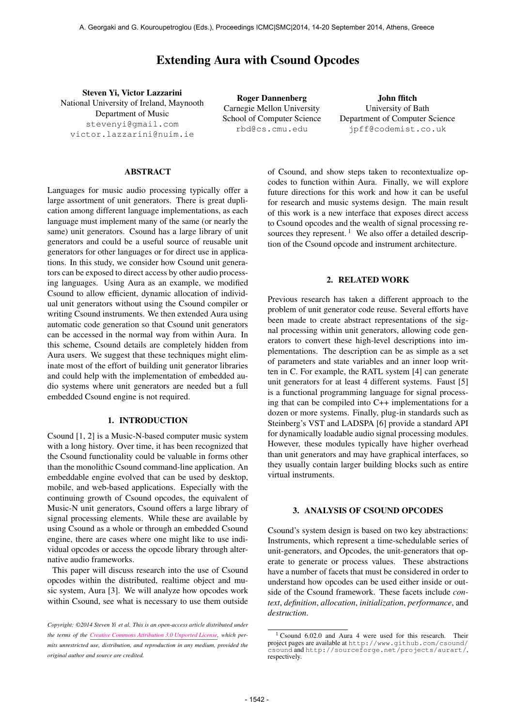# Extending Aura with Csound Opcodes

Steven Yi, Victor Lazzarini National University of Ireland, Maynooth Department of Music [stevenyi@gmail.com](mailto:stevenyi@gmail.com) [victor.lazzarini@nuim.ie](mailto:victor.lazzarini@nuim.ie)

Roger Dannenberg Carnegie Mellon University School of Computer Science [rbd@cs.cmu.edu](mailto:rbd@cs.cmu.edu)

John ffitch University of Bath Department of Computer Science [jpff@codemist.co.uk](mailto:jpff@codemist.co.uk)

# ABSTRACT

Languages for music audio processing typically offer a large assortment of unit generators. There is great duplication among different language implementations, as each language must implement many of the same (or nearly the same) unit generators. Csound has a large library of unit generators and could be a useful source of reusable unit generators for other languages or for direct use in applications. In this study, we consider how Csound unit generators can be exposed to direct access by other audio processing languages. Using Aura as an example, we modified Csound to allow efficient, dynamic allocation of individual unit generators without using the Csound compiler or writing Csound instruments. We then extended Aura using automatic code generation so that Csound unit generators can be accessed in the normal way from within Aura. In this scheme, Csound details are completely hidden from Aura users. We suggest that these techniques might eliminate most of the effort of building unit generator libraries and could help with the implementation of embedded audio systems where unit generators are needed but a full embedded Csound engine is not required.

# 1. INTRODUCTION

Csound [1, 2] is a Music-N-based computer music system with a long history. Over time, it has been recognized that the Csound functionality could be valuable in forms other than the monolithic Csound command-line application. An embeddable engine evolved that can be used by desktop, mobile, and web-based applications. Especially with the continuing growth of Csound opcodes, the equivalent of Music-N unit generators, Csound offers a large library of signal processing elements. While these are available by using Csound as a whole or through an embedded Csound engine, there are cases where one might like to use individual opcodes or access the opcode library through alternative audio frameworks.

This paper will discuss research into the use of Csound opcodes within the distributed, realtime object and music system, Aura [3]. We will analyze how opcodes work within Csound, see what is necessary to use them outside

of Csound, and show steps taken to recontextualize opcodes to function within Aura. Finally, we will explore future directions for this work and how it can be useful for research and music systems design. The main result of this work is a new interface that exposes direct access to Csound opcodes and the wealth of signal processing resources they represent.<sup>1</sup> We also offer a detailed description of the Csound opcode and instrument architecture.

# 2. RELATED WORK

Previous research has taken a different approach to the problem of unit generator code reuse. Several efforts have been made to create abstract representations of the signal processing within unit generators, allowing code generators to convert these high-level descriptions into implementations. The description can be as simple as a set of parameters and state variables and an inner loop written in C. For example, the RATL system [4] can generate unit generators for at least 4 different systems. Faust [5] is a functional programming language for signal processing that can be compiled into C++ implementations for a dozen or more systems. Finally, plug-in standards such as Steinberg's VST and LADSPA [6] provide a standard API for dynamically loadable audio signal processing modules. However, these modules typically have higher overhead than unit generators and may have graphical interfaces, so they usually contain larger building blocks such as entire virtual instruments.

#### 3. ANALYSIS OF CSOUND OPCODES

Csound's system design is based on two key abstractions: Instruments, which represent a time-schedulable series of unit-generators, and Opcodes, the unit-generators that operate to generate or process values. These abstractions have a number of facets that must be considered in order to understand how opcodes can be used either inside or outside of the Csound framework. These facets include *context*, *definition*, *allocation*, *initialization*, *performance*, and *destruction*.

*Copyright: ©2014 Steven Yi et al. This is an open-access article distributed under the terms of the [Creative Commons Attribution 3.0 Unported License,](http://creativecommons.org/licenses/by/3.0/) which permits unrestricted use, distribution, and reproduction in any medium, provided the original author and source are credited.*

<sup>&</sup>lt;sup>1</sup> Csound 6.02.0 and Aura 4 were used for this research. Their project pages are available at [http://www.github.com/csound/](http://www.github.com/csound/csound) [csound](http://www.github.com/csound/csound) and <http://sourceforge.net/projects/aurart/>, respectively.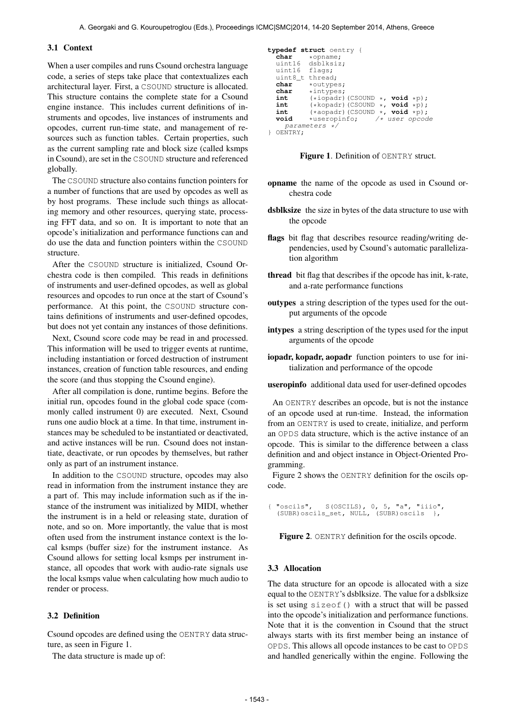#### 3.1 Context

When a user compiles and runs Csound orchestra language code, a series of steps take place that contextualizes each architectural layer. First, a CSOUND structure is allocated. This structure contains the complete state for a Csound engine instance. This includes current definitions of instruments and opcodes, live instances of instruments and opcodes, current run-time state, and management of resources such as function tables. Certain properties, such as the current sampling rate and block size (called ksmps in Csound), are set in the CSOUND structure and referenced globally.

The CSOUND structure also contains function pointers for a number of functions that are used by opcodes as well as by host programs. These include such things as allocating memory and other resources, querying state, processing FFT data, and so on. It is important to note that an opcode's initialization and performance functions can and do use the data and function pointers within the CSOUND structure.

After the CSOUND structure is initialized, Csound Orchestra code is then compiled. This reads in definitions of instruments and user-defined opcodes, as well as global resources and opcodes to run once at the start of Csound's performance. At this point, the CSOUND structure contains definitions of instruments and user-defined opcodes, but does not yet contain any instances of those definitions.

Next, Csound score code may be read in and processed. This information will be used to trigger events at runtime, including instantiation or forced destruction of instrument instances, creation of function table resources, and ending the score (and thus stopping the Csound engine).

After all compilation is done, runtime begins. Before the initial run, opcodes found in the global code space (commonly called instrument 0) are executed. Next, Csound runs one audio block at a time. In that time, instrument instances may be scheduled to be instantiated or deactivated, and active instances will be run. Csound does not instantiate, deactivate, or run opcodes by themselves, but rather only as part of an instrument instance.

In addition to the CSOUND structure, opcodes may also read in information from the instrument instance they are a part of. This may include information such as if the instance of the instrument was initialized by MIDI, whether the instrument is in a held or releasing state, duration of note, and so on. More importantly, the value that is most often used from the instrument instance context is the local ksmps (buffer size) for the instrument instance. As Csound allows for setting local ksmps per instrument instance, all opcodes that work with audio-rate signals use the local ksmps value when calculating how much audio to render or process.

#### 3.2 Definition

Csound opcodes are defined using the OENTRY data structure, as seen in Figure 1.

The data structure is made up of:

```
typedef struct oentry {
   char *opname;<br>uint16 dsblksiz
   uint16 dsblksiz;<br>uint16 flags;
                 flags;<br>thread:
   uint8_ttchar
   char *outypes;<br>char *intypes;
   char *intypes;
   int (*iopadr)(CSOUND *, void *p);
int (*kopadr)(CSOUND *, void *p);
   int (*a\text{ or } (c\text{SOUND} *, \text{ void } *p);<br>
void *useropinfo; /* user opcoc
                                             \frac{1}{x} user opcode
       parameters */
} OENTRY;
```
Figure 1. Definition of OENTRY struct.

- opname the name of the opcode as used in Csound orchestra code
- dsblksize the size in bytes of the data structure to use with the opcode
- flags bit flag that describes resource reading/writing dependencies, used by Csound's automatic parallelization algorithm
- thread bit flag that describes if the opcode has init, k-rate, and a-rate performance functions
- outypes a string description of the types used for the output arguments of the opcode
- intypes a string description of the types used for the input arguments of the opcode
- iopadr, kopadr, aopadr function pointers to use for initialization and performance of the opcode

useropinfo additional data used for user-defined opcodes

An OENTRY describes an opcode, but is not the instance of an opcode used at run-time. Instead, the information from an OENTRY is used to create, initialize, and perform an OPDS data structure, which is the active instance of an opcode. This is similar to the difference between a class definition and and object instance in Object-Oriented Programming.

Figure 2 shows the OENTRY definition for the oscils opcode.

"oscils", S(OSCILS), 0, 5, "a", "iiio", (SUBR)oscils\_set, NULL, (SUBR)oscils },

Figure 2. OENTRY definition for the oscils opcode.

### 3.3 Allocation

The data structure for an opcode is allocated with a size equal to the OENTRY's dsblksize. The value for a dsblksize is set using sizeof() with a struct that will be passed into the opcode's initialization and performance functions. Note that it is the convention in Csound that the struct always starts with its first member being an instance of OPDS. This allows all opcode instances to be cast to OPDS and handled generically within the engine. Following the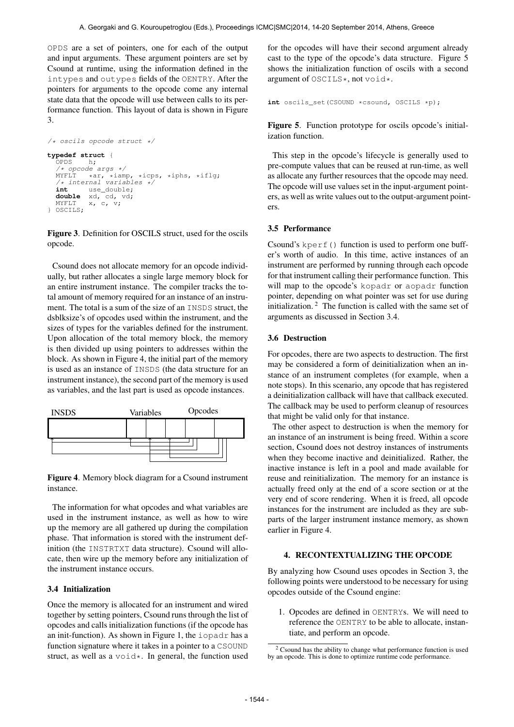OPDS are a set of pointers, one for each of the output and input arguments. These argument pointers are set by Csound at runtime, using the information defined in the intypes and outypes fields of the OENTRY. After the pointers for arguments to the opcode come any internal state data that the opcode will use between calls to its performance function. This layout of data is shown in Figure 3.

```
/* oscils opcode struct */
typedef struct {
   OPDS/* opcode args */<br>MYFLT *ar, *iam
   MYFLT *ar, *iamp, *icps, *iphs, *iflg;
/* internal variables */
   int use_double;
double xd, cd, vd;
  MYFLT x, c, v;
} OSCILS;
```
Figure 3. Definition for OSCILS struct, used for the oscils opcode.

Csound does not allocate memory for an opcode individually, but rather allocates a single large memory block for an entire instrument instance. The compiler tracks the total amount of memory required for an instance of an instrument. The total is a sum of the size of an INSDS struct, the dsblksize's of opcodes used within the instrument, and the sizes of types for the variables defined for the instrument. Upon allocation of the total memory block, the memory is then divided up using pointers to addresses within the block. As shown in Figure 4, the initial part of the memory is used as an instance of INSDS (the data structure for an instrument instance), the second part of the memory is used as variables, and the last part is used as opcode instances.



Figure 4. Memory block diagram for a Csound instrument instance.

The information for what opcodes and what variables are used in the instrument instance, as well as how to wire up the memory are all gathered up during the compilation phase. That information is stored with the instrument definition (the INSTRTXT data structure). Csound will allocate, then wire up the memory before any initialization of the instrument instance occurs.

#### 3.4 Initialization

Once the memory is allocated for an instrument and wired together by setting pointers, Csound runs through the list of opcodes and calls initialization functions (if the opcode has an init-function). As shown in Figure 1, the iopadr has a function signature where it takes in a pointer to a CSOUND struct, as well as a  $\text{void} \star$ . In general, the function used for the opcodes will have their second argument already cast to the type of the opcode's data structure. Figure 5 shows the initialization function of oscils with a second argument of OSCILS\*, not void\*.

```
int oscils set(CSOUND *csound, OSCILS *p);
```
Figure 5. Function prototype for oscils opcode's initialization function.

This step in the opcode's lifecycle is generally used to pre-compute values that can be reused at run-time, as well as allocate any further resources that the opcode may need. The opcode will use values set in the input-argument pointers, as well as write values out to the output-argument pointers.

#### 3.5 Performance

Csound's kperf() function is used to perform one buffer's worth of audio. In this time, active instances of an instrument are performed by running through each opcode for that instrument calling their performance function. This will map to the opcode's kopadr or aopadr function pointer, depending on what pointer was set for use during initialization. 2 The function is called with the same set of arguments as discussed in Section 3.4.

#### 3.6 Destruction

For opcodes, there are two aspects to destruction. The first may be considered a form of deinitialization when an instance of an instrument completes (for example, when a note stops). In this scenario, any opcode that has registered a deinitialization callback will have that callback executed. The callback may be used to perform cleanup of resources that might be valid only for that instance.

The other aspect to destruction is when the memory for an instance of an instrument is being freed. Within a score section, Csound does not destroy instances of instruments when they become inactive and deinitialized. Rather, the inactive instance is left in a pool and made available for reuse and reinitialization. The memory for an instance is actually freed only at the end of a score section or at the very end of score rendering. When it is freed, all opcode instances for the instrument are included as they are subparts of the larger instrument instance memory, as shown earlier in Figure 4.

# 4. RECONTEXTUALIZING THE OPCODE

By analyzing how Csound uses opcodes in Section 3, the following points were understood to be necessary for using opcodes outside of the Csound engine:

1. Opcodes are defined in OENTRYs. We will need to reference the OENTRY to be able to allocate, instantiate, and perform an opcode.

<sup>&</sup>lt;sup>2</sup> Csound has the ability to change what performance function is used by an opcode. This is done to optimize runtime code performance.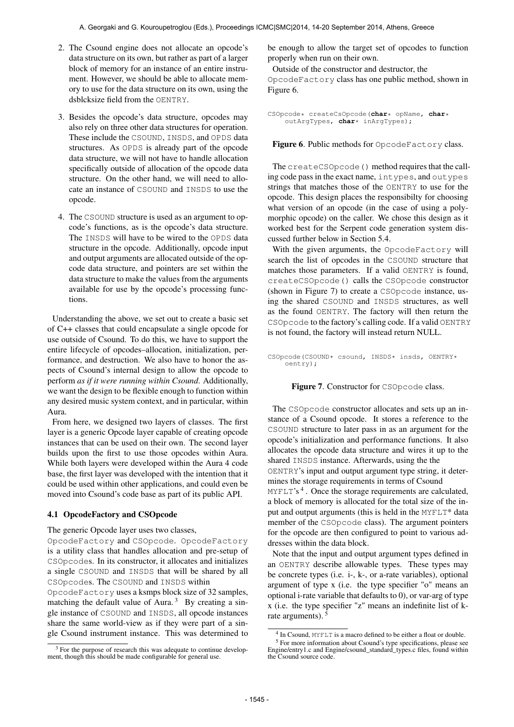- 2. The Csound engine does not allocate an opcode's data structure on its own, but rather as part of a larger block of memory for an instance of an entire instrument. However, we should be able to allocate memory to use for the data structure on its own, using the dsblcksize field from the OENTRY.
- 3. Besides the opcode's data structure, opcodes may also rely on three other data structures for operation. These include the CSOUND, INSDS, and OPDS data structures. As OPDS is already part of the opcode data structure, we will not have to handle allocation specifically outside of allocation of the opcode data structure. On the other hand, we will need to allocate an instance of CSOUND and INSDS to use the opcode.
- 4. The CSOUND structure is used as an argument to opcode's functions, as is the opcode's data structure. The INSDS will have to be wired to the OPDS data structure in the opcode. Additionally, opcode input and output arguments are allocated outside of the opcode data structure, and pointers are set within the data structure to make the values from the arguments available for use by the opcode's processing functions.

Understanding the above, we set out to create a basic set of C++ classes that could encapsulate a single opcode for use outside of Csound. To do this, we have to support the entire lifecycle of opcodes–allocation, initialization, performance, and destruction. We also have to honor the aspects of Csound's internal design to allow the opcode to perform *as if it were running within Csound*. Additionally, we want the design to be flexible enough to function within any desired music system context, and in particular, within Aura.

From here, we designed two layers of classes. The first layer is a generic Opcode layer capable of creating opcode instances that can be used on their own. The second layer builds upon the first to use those opcodes within Aura. While both layers were developed within the Aura 4 code base, the first layer was developed with the intention that it could be used within other applications, and could even be moved into Csound's code base as part of its public API.

# 4.1 OpcodeFactory and CSOpcode

#### The generic Opcode layer uses two classes,

OpcodeFactory and CSOpcode. OpcodeFactory is a utility class that handles allocation and pre-setup of CSOpcodes. In its constructor, it allocates and initializes a single CSOUND and INSDS that will be shared by all CSOpcodes. The CSOUND and INSDS within

OpcodeFactory uses a ksmps block size of 32 samples, matching the default value of Aura.<sup>3</sup> By creating a single instance of CSOUND and INSDS, all opcode instances share the same world-view as if they were part of a single Csound instrument instance. This was determined to be enough to allow the target set of opcodes to function properly when run on their own.

Outside of the constructor and destructor, the OpcodeFactory class has one public method, shown in Figure 6.

```
CSOpcode* createCsOpcode(char* opName, char*
    outArgTypes, char* inArgTypes);
```
Figure 6. Public methods for OpcodeFactory class.

The createCSOpcode() method requires that the calling code pass in the exact name, intypes, and outypes strings that matches those of the OENTRY to use for the opcode. This design places the responsibilty for choosing what version of an opcode (in the case of using a polymorphic opcode) on the caller. We chose this design as it worked best for the Serpent code generation system discussed further below in Section 5.4.

With the given arguments, the OpcodeFactory will search the list of opcodes in the CSOUND structure that matches those parameters. If a valid OENTRY is found, createCSOpcode() calls the CSOpcode constructor (shown in Figure 7) to create a CSOpcode instance, using the shared CSOUND and INSDS structures, as well as the found OENTRY. The factory will then return the CSOpcode to the factory's calling code. If a valid OENTRY is not found, the factory will instead return NULL.

CSOpcode(CSOUND\* csound, INSDS\* insds, OENTRY\* oentry);

#### Figure 7. Constructor for CSOpcode class.

The CSOpcode constructor allocates and sets up an instance of a Csound opcode. It stores a reference to the CSOUND structure to later pass in as an argument for the opcode's initialization and performance functions. It also allocates the opcode data structure and wires it up to the shared INSDS instance. Afterwards, using the the OENTRY's input and output argument type string, it determines the storage requirements in terms of Csound

MYFLT's<sup>4</sup>. Once the storage requirements are calculated, a block of memory is allocated for the total size of the input and output arguments (this is held in the MYFLT\* data member of the CSOpcode class). The argument pointers for the opcode are then configured to point to various addresses within the data block.

Note that the input and output argument types defined in an OENTRY describe allowable types. These types may be concrete types (i.e. i-, k-, or a-rate variables), optional argument of type x (i.e. the type specifier "o" means an optional i-rate variable that defaults to 0), or var-arg of type x (i.e. the type specifier "z" means an indefinite list of krate arguments).<sup>5</sup>

 $3$  For the purpose of research this was adequate to continue development, though this should be made configurable for general use.

<sup>&</sup>lt;sup>4</sup> In Csound, MYFLT is a macro defined to be either a float or double. <sup>5</sup> For more information about Csound's type specifications, please see<br>Engine/entry1.c and Engine/csound\_standard\_types.c files, found within the Csound source code.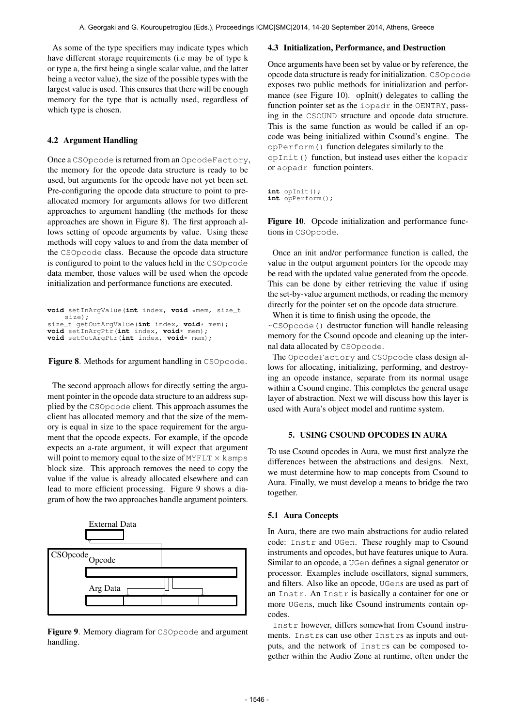As some of the type specifiers may indicate types which have different storage requirements (i.e may be of type k or type a, the first being a single scalar value, and the latter being a vector value), the size of the possible types with the largest value is used. This ensures that there will be enough memory for the type that is actually used, regardless of which type is chosen.

# 4.2 Argument Handling

Once a CSOpcode is returned from an OpcodeFactory, the memory for the opcode data structure is ready to be used, but arguments for the opcode have not yet been set. Pre-configuring the opcode data structure to point to preallocated memory for arguments allows for two different approaches to argument handling (the methods for these approaches are shown in Figure 8). The first approach allows setting of opcode arguments by value. Using these methods will copy values to and from the data member of the CSOpcode class. Because the opcode data structure is configured to point to the values held in the CSOpcode data member, those values will be used when the opcode initialization and performance functions are executed.

```
void setInArgValue(int index, void *mem, size_t
       size);
size_t getOutArgValue(int index, void* mem);
void setInArgPtr(int index, void* mem);
void setOutArgPtr(int index, void* mem);
```
Figure 8. Methods for argument handling in CSOpcode.

The second approach allows for directly setting the argument pointer in the opcode data structure to an address supplied by the CSOpcode client. This approach assumes the client has allocated memory and that the size of the memory is equal in size to the space requirement for the argument that the opcode expects. For example, if the opcode expects an a-rate argument, it will expect that argument will point to memory equal to the size of MYFLT  $\times$  ksmps block size. This approach removes the need to copy the value if the value is already allocated elsewhere and can lead to more efficient processing. Figure 9 shows a diagram of how the two approaches handle argument pointers.



Figure 9. Memory diagram for CSOpcode and argument handling.

#### 4.3 Initialization, Performance, and Destruction

Once arguments have been set by value or by reference, the opcode data structure is ready for initialization. CSOpcode exposes two public methods for initialization and performance (see Figure 10). opInit() delegates to calling the function pointer set as the iopadr in the OENTRY, passing in the CSOUND structure and opcode data structure. This is the same function as would be called if an opcode was being initialized within Csound's engine. The opPerform() function delegates similarly to the opInit() function, but instead uses either the kopadr or aopadr function pointers.

**int** opInit(); **int** opPerform();

Figure 10. Opcode initialization and performance functions in CSOpcode.

Once an init and/or performance function is called, the value in the output argument pointers for the opcode may be read with the updated value generated from the opcode. This can be done by either retrieving the value if using the set-by-value argument methods, or reading the memory directly for the pointer set on the opcode data structure.

When it is time to finish using the opcode, the

~CSOpcode() destructor function will handle releasing memory for the Csound opcode and cleaning up the internal data allocated by CSOpcode.

The OpcodeFactory and CSOpcode class design allows for allocating, initializing, performing, and destroying an opcode instance, separate from its normal usage within a Csound engine. This completes the general usage layer of abstraction. Next we will discuss how this layer is used with Aura's object model and runtime system.

# 5. USING CSOUND OPCODES IN AURA

To use Csound opcodes in Aura, we must first analyze the differences between the abstractions and designs. Next, we must determine how to map concepts from Csound to Aura. Finally, we must develop a means to bridge the two together.

# 5.1 Aura Concepts

In Aura, there are two main abstractions for audio related code: Instr and UGen. These roughly map to Csound instruments and opcodes, but have features unique to Aura. Similar to an opcode, a UGen defines a signal generator or processor. Examples include oscillators, signal summers, and filters. Also like an opcode, UGens are used as part of an Instr. An Instr is basically a container for one or more UGens, much like Csound instruments contain opcodes.

Instr however, differs somewhat from Csound instruments. Instrs can use other Instrs as inputs and outputs, and the network of Instrs can be composed together within the Audio Zone at runtime, often under the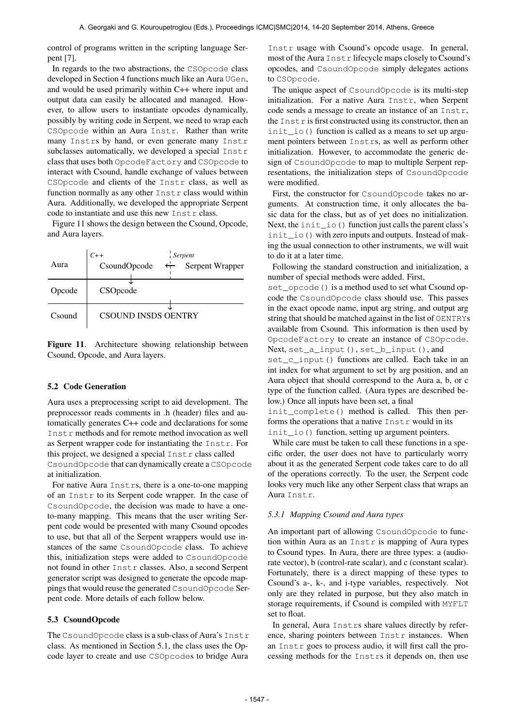control of programs written in the scripting language Serpent [7].

In regards to the two abstractions, the CSOpcode class developed in Section 4 functions much like an Aura UGen, and would be used primarily within C++ where input and output data can easily be allocated and managed. However, to allow users to instantiate opcodes dynamically, possibly by writing code in Serpent, we need to wrap each CSOpcode within an Aura Instr. Rather than write many Instrs by hand, or even generate many Instr subclasses automatically, we developed a special Instr class that uses both OpcodeFactory and CSOpcode to interact with Csound, handle exchange of values between CSOpcode and clients of the Instr class, as well as function normally as any other Instr class would within Aura. Additionally, we developed the appropriate Serpent code to instantiate and use this new Instr class.

Figure 11 shows the design between the Csound, Opcode, and Aura layers.

|        | $C++$                      |              | <b>Serpent</b>  |  |
|--------|----------------------------|--------------|-----------------|--|
| Aura   | CsoundOpcode               | $\leftarrow$ | Serpent Wrapper |  |
| Opcode | CSOpcode                   |              |                 |  |
| Csound | <b>CSOUND INSDS OENTRY</b> |              |                 |  |



#### 5.2 Code Generation

Aura uses a preprocessing script to aid development. The preprocessor reads comments in .h (header) files and automatically generates C++ code and declarations for some Instr methods and for remote method invocation as well as Serpent wrapper code for instantiating the Instr. For this project, we designed a special Instr class called CsoundOpcode that can dynamically create a CSOpcode at initialization.

For native Aura Instrs, there is a one-to-one mapping of an Instr to its Serpent code wrapper. In the case of CsoundOpcode, the decision was made to have a oneto-many mapping. This means that the user writing Serpent code would be presented with many Csound opcodes to use, but that all of the Serpent wrappers would use instances of the same CsoundOpcode class. To achieve this, initialization steps were added to CsoundOpcode not found in other Instr classes. Also, a second Serpent generator script was designed to generate the opcode mappings that would reuse the generated CsoundOpcode Serpent code. More details of each follow below.

# 5.3 CsoundOpcode

The CsoundOpcode class is a sub-class of Aura's Instr class. As mentioned in Section 5.1, the class uses the Opcode layer to create and use CSOpcodes to bridge Aura

Instr usage with Csound's opcode usage. In general, most of the Aura Instr lifecycle maps closely to Csound's opcodes, and CsoundOpcode simply delegates actions to CSOpcode.

The unique aspect of CsoundOpcode is its multi-step initialization. For a native Aura Instr, when Serpent code sends a message to create an instance of an Instr, the  $\text{Inst } r$  is first constructed using its constructor, then an init\_io() function is called as a means to set up argument pointers between Instrs, as well as perform other initialization. However, to accommodate the generic design of CsoundOpcode to map to multiple Serpent representations, the initialization steps of CsoundOpcode were modified.

First, the constructor for CsoundOpcode takes no arguments. At construction time, it only allocates the basic data for the class, but as of yet does no initialization. Next, the init io () function just calls the parent class's init\_io() with zero inputs and outputs. Instead of making the usual connection to other instruments, we will wait to do it at a later time.

Following the standard construction and initialization, a number of special methods were added. First,

set opcode () is a method used to set what Csound opcode the CsoundOpcode class should use. This passes in the exact opcode name, input arg string, and output arg string that should be matched against in the list of OENTRYs available from Csound. This information is then used by OpcodeFactory to create an instance of CSOpcode. Next, set\_a\_input(), set\_b\_input(), and

set\_c\_input() functions are called. Each take in an int index for what argument to set by arg position, and an Aura object that should correspond to the Aura a, b, or c type of the function called. (Aura types are described below.) Once all inputs have been set, a final

init complete() method is called. This then performs the operations that a native Instr would in its init\_io() function, setting up argument pointers.

While care must be taken to call these functions in a specific order, the user does not have to particularly worry about it as the generated Serpent code takes care to do all of the operations correctly. To the user, the Serpent code looks very much like any other Serpent class that wraps an Aura Instr.

### *5.3.1 Mapping Csound and Aura types*

An important part of allowing CsoundOpcode to function within Aura as an Instr is mapping of Aura types to Csound types. In Aura, there are three types: a (audiorate vector), b (control-rate scalar), and c (constant scalar). Fortunately, there is a direct mapping of these types to Csound's a-, k-, and i-type variables, respectively. Not only are they related in purpose, but they also match in storage requirements, if Csound is compiled with MYFLT set to float.

In general, Aura Instrs share values directly by reference, sharing pointers between Instr instances. When an Instr goes to process audio, it will first call the processing methods for the Instrs it depends on, then use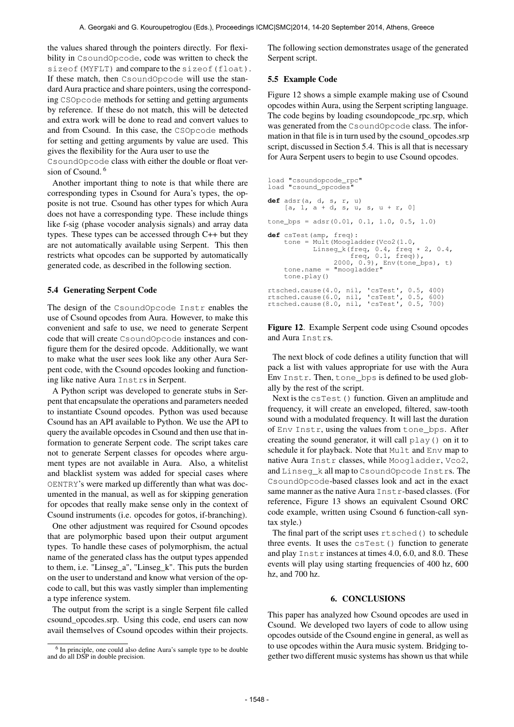the values shared through the pointers directly. For flexibility in CsoundOpcode, code was written to check the sizeof(MYFLT) and compare to the sizeof(float). If these match, then CsoundOpcode will use the standard Aura practice and share pointers, using the corresponding CSOpcode methods for setting and getting arguments by reference. If these do not match, this will be detected and extra work will be done to read and convert values to and from Csound. In this case, the CSOpcode methods for setting and getting arguments by value are used. This gives the flexibility for the Aura user to use the

CsoundOpcode class with either the double or float version of Csound.<sup>6</sup>

Another important thing to note is that while there are corresponding types in Csound for Aura's types, the opposite is not true. Csound has other types for which Aura does not have a corresponding type. These include things like f-sig (phase vocoder analysis signals) and array data types. These types can be accessed through C++ but they are not automatically available using Serpent. This then restricts what opcodes can be supported by automatically generated code, as described in the following section.

# 5.4 Generating Serpent Code

The design of the CsoundOpcode Instr enables the use of Csound opcodes from Aura. However, to make this convenient and safe to use, we need to generate Serpent code that will create CsoundOpcode instances and configure them for the desired opcode. Additionally, we want to make what the user sees look like any other Aura Serpent code, with the Csound opcodes looking and functioning like native Aura Instrs in Serpent.

A Python script was developed to generate stubs in Serpent that encapsulate the operations and parameters needed to instantiate Csound opcodes. Python was used because Csound has an API available to Python. We use the API to query the available opcodes in Csound and then use that information to generate Serpent code. The script takes care not to generate Serpent classes for opcodes where argument types are not available in Aura. Also, a whitelist and blacklist system was added for special cases where OENTRY's were marked up differently than what was documented in the manual, as well as for skipping generation for opcodes that really make sense only in the context of Csound instruments (i.e. opcodes for gotos, if-branching).

One other adjustment was required for Csound opcodes that are polymorphic based upon their output argument types. To handle these cases of polymorphism, the actual name of the generated class has the output types appended to them, i.e. "Linseg\_a", "Linseg\_k". This puts the burden on the user to understand and know what version of the opcode to call, but this was vastly simpler than implementing a type inference system.

The output from the script is a single Serpent file called csound\_opcodes.srp. Using this code, end users can now avail themselves of Csound opcodes within their projects. The following section demonstrates usage of the generated Serpent script.

# 5.5 Example Code

Figure 12 shows a simple example making use of Csound opcodes within Aura, using the Serpent scripting language. The code begins by loading csoundopcode\_rpc.srp, which was generated from the CsoundOpcode class. The information in that file is in turn used by the csound\_opcodes.srp script, discussed in Section 5.4. This is all that is necessary for Aura Serpent users to begin to use Csound opcodes.

```
load "csoundopcode_rpc"
load "csound opcodes"
def adsr(a, d, s, r, u)
       [a, 1, a + d, s, u, s, u + r, 0]tone_bps = adsr(0.01, 0.1, 1.0, 0.5, 1.0)def csTest(amp, freq):
tone = Mult(Moogladder(Vco2(1.0,
       Linseg_k(freq, 0.4, freq * 2, 0.4,<br>
freq, 0.1, freq)),<br>
2000, 0.9), Env(tone_bps), t)<br>
tone.name = "moogladder"
      tone.name =<br>tone.play()
rtsched.cause(4.0, nil, 'csTest', 0.5, 400)
rtsched.cause(6.0, nil, 'csTest', 0.5, 600)
rtsched.cause(8.0, nil, 'csTest', 0.5, 700)
```
Figure 12. Example Serpent code using Csound opcodes and Aura Instrs.

The next block of code defines a utility function that will pack a list with values appropriate for use with the Aura Env Instr. Then, tone\_bps is defined to be used globally by the rest of the script.

Next is the csTest() function. Given an amplitude and frequency, it will create an enveloped, filtered, saw-tooth sound with a modulated frequency. It will last the duration of Env Instr, using the values from tone\_bps. After creating the sound generator, it will call play() on it to schedule it for playback. Note that Mult and Env map to native Aura Instr classes, while Moogladder, Vco2, and Linseg\_k all map to CsoundOpcode Instrs. The CsoundOpcode-based classes look and act in the exact same manner as the native Aura Instr-based classes. (For reference, Figure 13 shows an equivalent Csound ORC code example, written using Csound 6 function-call syntax style.)

The final part of the script uses rtsched() to schedule three events. It uses the  $c$ sTest() function to generate and play Instr instances at times 4.0, 6.0, and 8.0. These events will play using starting frequencies of 400 hz, 600 hz, and 700 hz.

# 6. CONCLUSIONS

This paper has analyzed how Csound opcodes are used in Csound. We developed two layers of code to allow using opcodes outside of the Csound engine in general, as well as to use opcodes within the Aura music system. Bridging together two different music systems has shown us that while

<sup>&</sup>lt;sup>6</sup> In principle, one could also define Aura's sample type to be double and do all DSP in double precision.